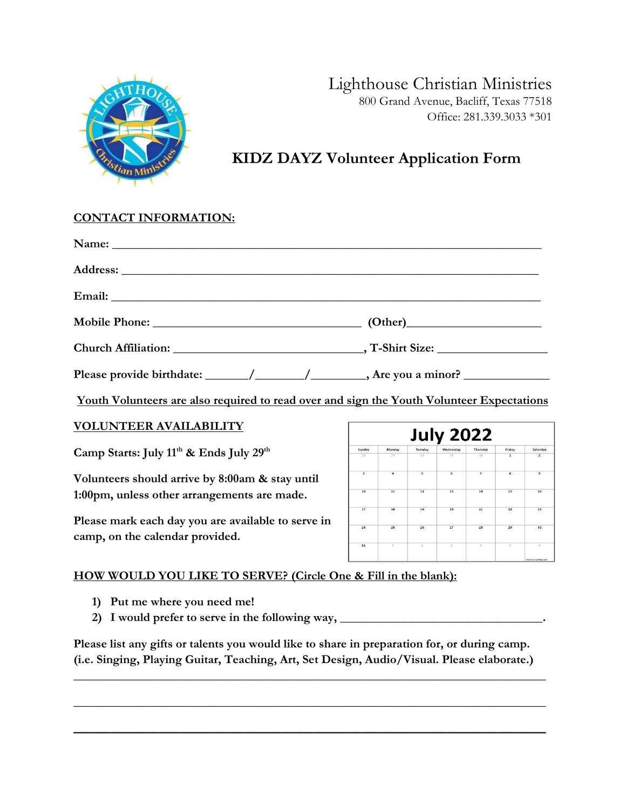

### Lighthouse Christian Ministries 800 Grand Avenue, Bacliff, Texas 77518 Office: 281.339.3033 \*301

## **KIDZ DAYZ Volunteer Application Form**

### **CONTACT INFORMATION:**

| Name: |  |
|-------|--|
|       |  |
|       |  |
|       |  |
|       |  |
|       |  |

**Youth Volunteers are also required to read over and sign the Youth Volunteer Expectations**

### **VOLUNTEER AVAILABILITY**

**Camp Starts: July 11 th & Ends July 29th**

**Volunteers should arrive by 8:00am & stay until 1:00pm, unless other arrangements are made.** 

**Please mark each day you are available to serve in camp, on the calendar provided.**

|                         |        |                | <b>July 2022</b> |          |                |                |
|-------------------------|--------|----------------|------------------|----------|----------------|----------------|
| Sunday                  | Monday | Tuesday        | Wednesday        | Thursday | Friday         | Saturday       |
| 26                      | 27     | 28             | 29               | 30       | $\mathbf 1$    | $\overline{2}$ |
| $\overline{\mathbf{3}}$ | 4      | 5              | 6                | 7        | $\bf{8}$       | $\overline{9}$ |
| 10                      | 11     | 12             | 13               | 14       | 15             | 16             |
| 17                      | 18     | 19             | 20               | 21       | 22             | 23             |
| 24                      | 25     | 26             | 27               | 28       | 29             | 30             |
| 31                      | x      | $\overline{z}$ | $\overline{1}$   | $\alpha$ | $\overline{5}$ | $\overline{6}$ |

### **HOW WOULD YOU LIKE TO SERVE? (Circle One & Fill in the blank):**

- **1) Put me where you need me!**
- **2) I would prefer to serve in the following way, \_\_\_\_\_\_\_\_\_\_\_\_\_\_\_\_\_\_\_\_\_\_\_\_\_\_\_\_\_\_\_\_\_.**

**Please list any gifts or talents you would like to share in preparation for, or during camp. (i.e. Singing, Playing Guitar, Teaching, Art, Set Design, Audio/Visual. Please elaborate.)** 

**\_\_\_\_\_\_\_\_\_\_\_\_\_\_\_\_\_\_\_\_\_\_\_\_\_\_\_\_\_\_\_\_\_\_\_\_\_\_\_\_\_\_\_\_\_\_\_\_\_\_\_\_\_\_\_\_\_\_\_\_\_\_\_\_\_\_\_\_\_\_\_\_\_\_\_\_\_**

**\_\_\_\_\_\_\_\_\_\_\_\_\_\_\_\_\_\_\_\_\_\_\_\_\_\_\_\_\_\_\_\_\_\_\_\_\_\_\_\_\_\_\_\_\_\_\_\_\_\_\_\_\_\_\_\_\_\_\_\_\_\_\_\_\_\_\_\_\_\_\_\_\_\_\_\_\_**

**\_\_\_\_\_\_\_\_\_\_\_\_\_\_\_\_\_\_\_\_\_\_\_\_\_\_\_\_\_\_\_\_\_\_\_\_\_\_\_\_\_\_\_\_\_\_\_\_\_\_\_\_\_\_\_\_\_\_\_\_\_\_\_\_\_\_\_\_\_\_\_\_\_\_\_\_\_**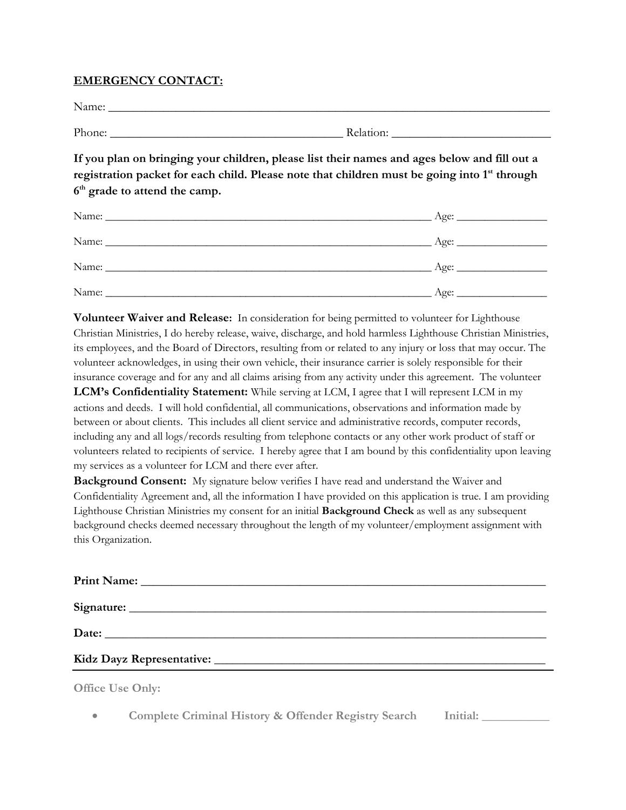#### **EMERGENCY CONTACT:**

| <b>NT</b><br>Name: |  |  |  |  |
|--------------------|--|--|--|--|
|                    |  |  |  |  |

Phone:  $\blacksquare$ 

**If you plan on bringing your children, please list their names and ages below and fill out a**  registration packet for each child. Please note that children must be going into 1<sup>st</sup> through **6 th grade to attend the camp.**

| Name: |      |
|-------|------|
| Name: | Age: |
| Name: |      |

**Volunteer Waiver and Release:** In consideration for being permitted to volunteer for Lighthouse Christian Ministries, I do hereby release, waive, discharge, and hold harmless Lighthouse Christian Ministries, its employees, and the Board of Directors, resulting from or related to any injury or loss that may occur. The volunteer acknowledges, in using their own vehicle, their insurance carrier is solely responsible for their insurance coverage and for any and all claims arising from any activity under this agreement. The volunteer **LCM's Confidentiality Statement:** While serving at LCM, I agree that I will represent LCM in my actions and deeds. I will hold confidential, all communications, observations and information made by between or about clients. This includes all client service and administrative records, computer records, including any and all logs/records resulting from telephone contacts or any other work product of staff or volunteers related to recipients of service. I hereby agree that I am bound by this confidentiality upon leaving

my services as a volunteer for LCM and there ever after. **Background Consent:** My signature below verifies I have read and understand the Waiver and Confidentiality Agreement and, all the information I have provided on this application is true. I am providing Lighthouse Christian Ministries my consent for an initial **Background Check** as well as any subsequent background checks deemed necessary throughout the length of my volunteer/employment assignment with this Organization.

| $\bigcap_{i=1}^n$ $\bigcap_{i=1}^n$ $\bigcap_{i=1}^n$ $\bigcap_{i=1}^n$ $\bigcap_{i=1}^n$ $\bigcap_{i=1}^n$ $\bigcap_{i=1}^n$ $\bigcap_{i=1}^n$ $\bigcap_{i=1}^n$ $\bigcap_{i=1}^n$ $\bigcap_{i=1}^n$ $\bigcap_{i=1}^n$ $\bigcap_{i=1}^n$ $\bigcap_{i=1}^n$ $\bigcap_{i=1}^n$ $\bigcap_{i=1}^n$ $\bigcap_{i=1}^n$ |  |
|-------------------------------------------------------------------------------------------------------------------------------------------------------------------------------------------------------------------------------------------------------------------------------------------------------------------|--|

**Office Use Only:**

• **Complete Criminal History & Offender Registry Search Initial: \_\_\_\_\_\_\_\_\_\_\_**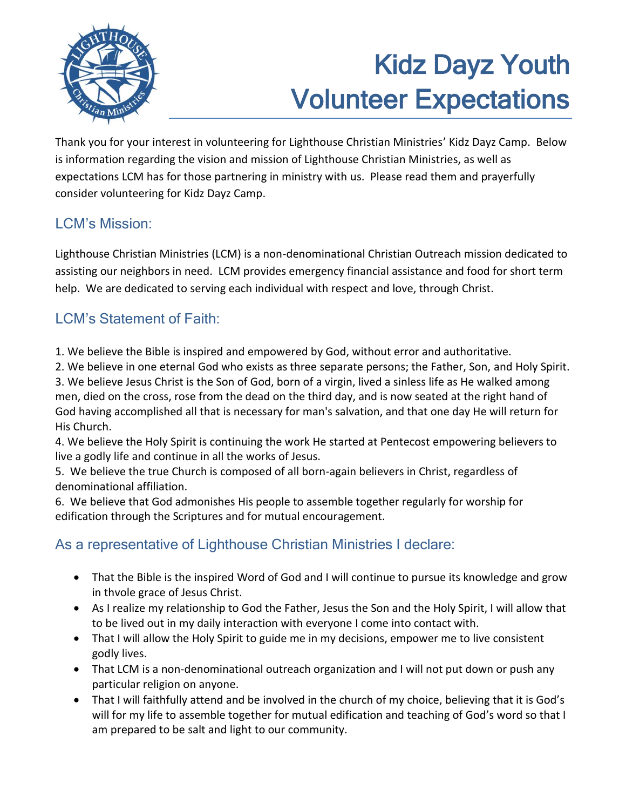

# Kidz Dayz Youth Volunteer Expectations

Thank you for your interest in volunteering for Lighthouse Christian Ministries' Kidz Dayz Camp. Below is information regarding the vision and mission of Lighthouse Christian Ministries, as well as expectations LCM has for those partnering in ministry with us. Please read them and prayerfully consider volunteering for Kidz Dayz Camp.

## LCM's Mission:

Lighthouse Christian Ministries (LCM) is a non-denominational Christian Outreach mission dedicated to assisting our neighbors in need. LCM provides emergency financial assistance and food for short term help. We are dedicated to serving each individual with respect and love, through Christ.

## LCM's Statement of Faith:

1. We believe the Bible is inspired and empowered by God, without error and authoritative.

2. We believe in one eternal God who exists as three separate persons; the Father, Son, and Holy Spirit. 3. We believe Jesus Christ is the Son of God, born of a virgin, lived a sinless life as He walked among men, died on the cross, rose from the dead on the third day, and is now seated at the right hand of God having accomplished all that is necessary for man's salvation, and that one day He will return for His Church.

4. We believe the Holy Spirit is continuing the work He started at Pentecost empowering believers to live a godly life and continue in all the works of Jesus.

5. We believe the true Church is composed of all born-again believers in Christ, regardless of denominational affiliation.

6. We believe that God admonishes His people to assemble together regularly for worship for edification through the Scriptures and for mutual encouragement.

## As a representative of Lighthouse Christian Ministries I declare:

- That the Bible is the inspired Word of God and I will continue to pursue its knowledge and grow in thvole grace of Jesus Christ.
- As I realize my relationship to God the Father, Jesus the Son and the Holy Spirit, I will allow that to be lived out in my daily interaction with everyone I come into contact with.
- That I will allow the Holy Spirit to guide me in my decisions, empower me to live consistent godly lives.
- That LCM is a non-denominational outreach organization and I will not put down or push any particular religion on anyone.
- That I will faithfully attend and be involved in the church of my choice, believing that it is God's will for my life to assemble together for mutual edification and teaching of God's word so that I am prepared to be salt and light to our community.